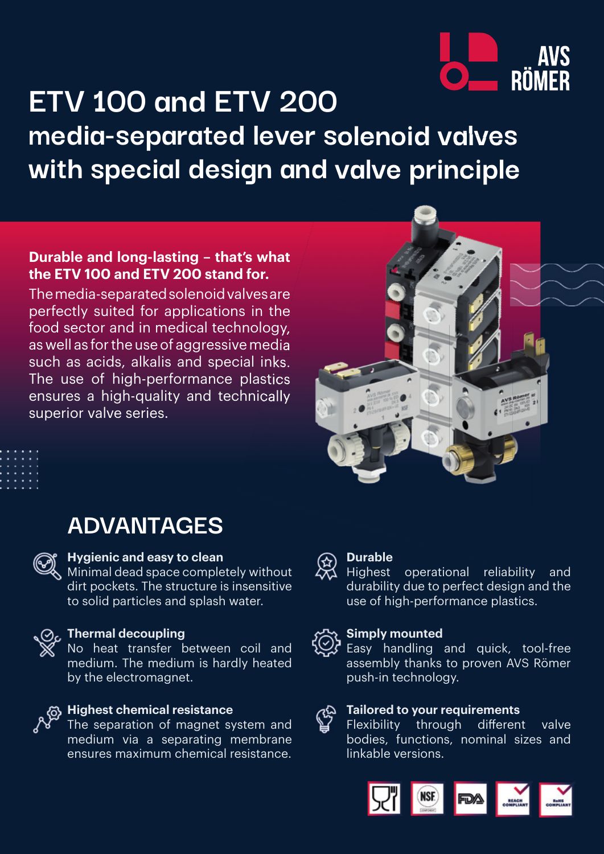

# **ETV 100 and ETV 200 media-separated lever solenoid valves with special design and valve principle**

## **Durable and long-lasting – that's what the ETV 100 and ETV 200 stand for.**

The media-separated solenoid valves are perfectly suited for applications in the food sector and in medical technology, as well as for the use of aggressive media such as acids, alkalis and special inks. The use of high-performance plastics ensures a high-quality and technically superior valve series.





## **ADVANTAGES**



### **Hygienic and easy to clean**

Minimal dead space completely without dirt pockets. The structure is insensitive to solid particles and splash water.



## *<u>O</u>* Thermal decoupling

No heat transfer between coil and medium. The medium is hardly heated by the electromagnet.



### **Highest chemical resistance**

The separation of magnet system and medium via a separating membrane ensures maximum chemical resistance.



### **Durable**

Highest operational reliability and durability due to perfect design and the use of high-performance plastics.



### **Simply mounted**

Easy handling and quick, tool-free assembly thanks to proven AVS Römer push-in technology.

#### **Tailored to your requirements** E

Flexibility through different valve bodies, functions, nominal sizes and linkable versions.